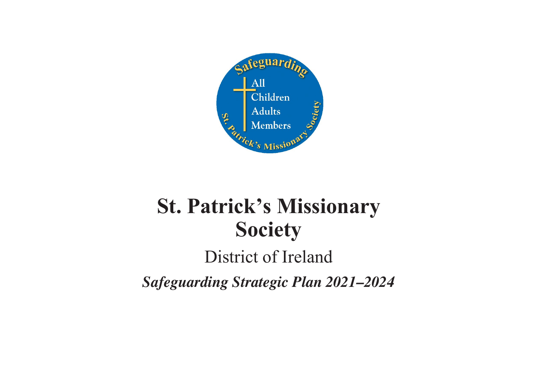

# **St. Patrick's Missionary Society**

# District of Ireland

*Safeguarding Strategic Plan 2021–2024*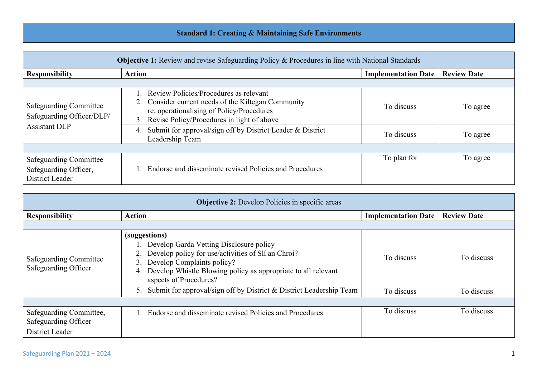## **Standard 1: Creating & Maintaining Safe Environments**

| <b>Objective 1:</b> Review and revise Safeguarding Policy & Procedures in line with National Standards |                                                                                                                                                                                                                                                                 |                            |                    |
|--------------------------------------------------------------------------------------------------------|-----------------------------------------------------------------------------------------------------------------------------------------------------------------------------------------------------------------------------------------------------------------|----------------------------|--------------------|
| <b>Responsibility</b>                                                                                  | <b>Action</b>                                                                                                                                                                                                                                                   | <b>Implementation Date</b> | <b>Review Date</b> |
|                                                                                                        |                                                                                                                                                                                                                                                                 |                            |                    |
| <b>Safeguarding Committee</b><br>Safeguarding Officer/DLP/<br><b>Assistant DLP</b>                     | Review Policies/Procedures as relevant<br>2. Consider current needs of the Kiltegan Community<br>re. operationalising of Policy/Procedures<br>3. Revise Policy/Procedures in light of above<br>Submit for approval/sign off by District Leader & District<br>4. | To discuss                 | To agree           |
|                                                                                                        | Leadership Team                                                                                                                                                                                                                                                 | To discuss                 | To agree           |
|                                                                                                        |                                                                                                                                                                                                                                                                 |                            |                    |
| <b>Safeguarding Committee</b><br>Safeguarding Officer,<br>District Leader                              | Endorse and disseminate revised Policies and Procedures                                                                                                                                                                                                         | To plan for                | To agree           |

| <b>Objective 2:</b> Develop Policies in specific areas             |                                                                                                                                                                                                                                                        |                            |                    |
|--------------------------------------------------------------------|--------------------------------------------------------------------------------------------------------------------------------------------------------------------------------------------------------------------------------------------------------|----------------------------|--------------------|
| <b>Responsibility</b>                                              | <b>Action</b>                                                                                                                                                                                                                                          | <b>Implementation Date</b> | <b>Review Date</b> |
|                                                                    |                                                                                                                                                                                                                                                        |                            |                    |
| Safeguarding Committee<br>Safeguarding Officer                     | (suggestions)<br>1. Develop Garda Vetting Disclosure policy<br>Develop policy for use/activities of Sli an Chroi?<br>Develop Complaints policy?<br>3.<br>Develop Whistle Blowing policy as appropriate to all relevant<br>4.<br>aspects of Procedures? | To discuss                 | To discuss         |
|                                                                    | 5. Submit for approval/sign off by District & District Leadership Team                                                                                                                                                                                 | To discuss                 | To discuss         |
|                                                                    |                                                                                                                                                                                                                                                        |                            |                    |
| Safeguarding Committee,<br>Safeguarding Officer<br>District Leader | Endorse and disseminate revised Policies and Procedures                                                                                                                                                                                                | To discuss                 | To discuss         |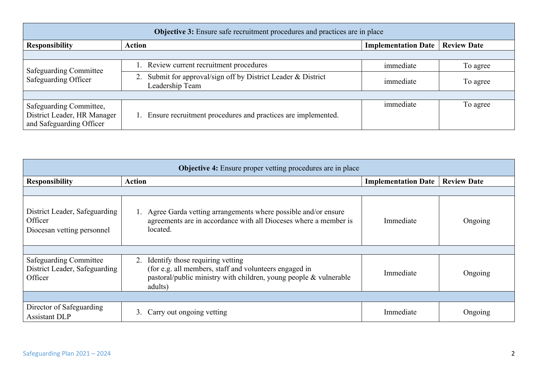| <b>Objective 3:</b> Ensure safe recruitment procedures and practices are in place  |                                                                                  |                            |                    |
|------------------------------------------------------------------------------------|----------------------------------------------------------------------------------|----------------------------|--------------------|
| <b>Responsibility</b>                                                              | <b>Action</b>                                                                    | <b>Implementation Date</b> | <b>Review Date</b> |
|                                                                                    |                                                                                  |                            |                    |
| <b>Safeguarding Committee</b><br>Safeguarding Officer                              | 1. Review current recruitment procedures                                         | immediate                  | To agree           |
|                                                                                    | 2. Submit for approval/sign off by District Leader & District<br>Leadership Team | immediate                  | To agree           |
|                                                                                    |                                                                                  |                            |                    |
| Safeguarding Committee,<br>District Leader, HR Manager<br>and Safeguarding Officer | 1. Ensure recruitment procedures and practices are implemented.                  | immediate                  | To agree           |

| <b>Objective 4:</b> Ensure proper vetting procedures are in place         |                                                                                                                                                                                  |                            |                    |
|---------------------------------------------------------------------------|----------------------------------------------------------------------------------------------------------------------------------------------------------------------------------|----------------------------|--------------------|
| <b>Responsibility</b>                                                     | <b>Action</b>                                                                                                                                                                    | <b>Implementation Date</b> | <b>Review Date</b> |
|                                                                           |                                                                                                                                                                                  |                            |                    |
| District Leader, Safeguarding<br>Officer<br>Diocesan vetting personnel    | 1. Agree Garda vetting arrangements where possible and/or ensure<br>agreements are in accordance with all Dioceses where a member is<br>located.                                 | Immediate                  | Ongoing            |
|                                                                           |                                                                                                                                                                                  |                            |                    |
| <b>Safeguarding Committee</b><br>District Leader, Safeguarding<br>Officer | Identify those requiring vetting<br>2.<br>(for e.g. all members, staff and volunteers engaged in<br>pastoral/public ministry with children, young people & vulnerable<br>adults) | Immediate                  | Ongoing            |
|                                                                           |                                                                                                                                                                                  |                            |                    |
| Director of Safeguarding<br><b>Assistant DLP</b>                          | 3.<br>Carry out ongoing vetting                                                                                                                                                  | Immediate                  | Ongoing            |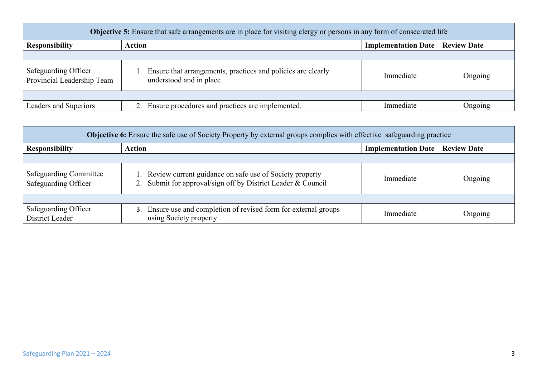| <b>Objective 5:</b> Ensure that safe arrangements are in place for visiting clergy or persons in any form of consecrated life |                                                                                            |                                          |         |
|-------------------------------------------------------------------------------------------------------------------------------|--------------------------------------------------------------------------------------------|------------------------------------------|---------|
| <b>Responsibility</b>                                                                                                         | <b>Action</b>                                                                              | <b>Implementation Date   Review Date</b> |         |
|                                                                                                                               |                                                                                            |                                          |         |
| Safeguarding Officer<br>Provincial Leadership Team                                                                            | 1. Ensure that arrangements, practices and policies are clearly<br>understood and in place | Immediate                                | Ongoing |
|                                                                                                                               |                                                                                            |                                          |         |
| Leaders and Superiors                                                                                                         | Ensure procedures and practices are implemented.                                           | Immediate                                | Ongoing |

| <b>Objective 6:</b> Ensure the safe use of Society Property by external groups complies with effective safeguarding practice |                                                                                                                            |                            |                    |
|------------------------------------------------------------------------------------------------------------------------------|----------------------------------------------------------------------------------------------------------------------------|----------------------------|--------------------|
| <b>Responsibility</b>                                                                                                        | Action                                                                                                                     | <b>Implementation Date</b> | <b>Review Date</b> |
|                                                                                                                              |                                                                                                                            |                            |                    |
| <b>Safeguarding Committee</b><br>Safeguarding Officer                                                                        | 1. Review current guidance on safe use of Society property<br>2. Submit for approval/sign off by District Leader & Council | Immediate                  | Ongoing            |
|                                                                                                                              |                                                                                                                            |                            |                    |
| Safeguarding Officer<br>District Leader                                                                                      | 3. Ensure use and completion of revised form for external groups<br>using Society property                                 | Immediate                  | Ongoing            |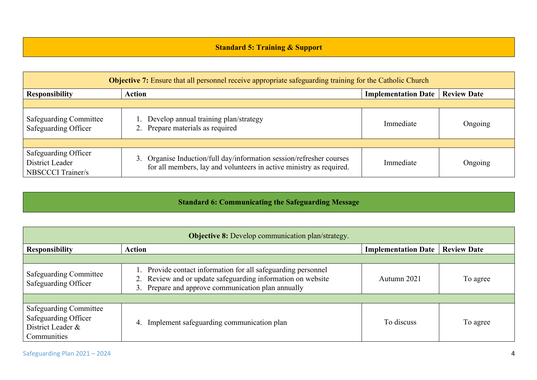#### **Standard 5: Training & Support**

| <b>Objective 7:</b> Ensure that all personnel receive appropriate safeguarding training for the Catholic Church |                                                                                                                                             |                            |                    |
|-----------------------------------------------------------------------------------------------------------------|---------------------------------------------------------------------------------------------------------------------------------------------|----------------------------|--------------------|
| <b>Responsibility</b>                                                                                           | <b>Action</b>                                                                                                                               | <b>Implementation Date</b> | <b>Review Date</b> |
|                                                                                                                 |                                                                                                                                             |                            |                    |
| Safeguarding Committee<br>Safeguarding Officer                                                                  | 1. Develop annual training plan/strategy<br>2. Prepare materials as required                                                                | Immediate                  | Ongoing            |
|                                                                                                                 |                                                                                                                                             |                            |                    |
| Safeguarding Officer<br>District Leader<br><b>NBSCCCI</b> Trainer/s                                             | 3. Organise Induction/full day/information session/refresher courses<br>for all members, lay and volunteers in active ministry as required. | Immediate                  | Ongoing            |

#### **Standard 6: Communicating the Safeguarding Message**

| <b>Objective 8:</b> Develop communication plan/strategy.                                  |                                                                                                                                                                                    |                            |                    |
|-------------------------------------------------------------------------------------------|------------------------------------------------------------------------------------------------------------------------------------------------------------------------------------|----------------------------|--------------------|
| <b>Responsibility</b>                                                                     | <b>Action</b>                                                                                                                                                                      | <b>Implementation Date</b> | <b>Review Date</b> |
|                                                                                           |                                                                                                                                                                                    |                            |                    |
| Safeguarding Committee<br>Safeguarding Officer                                            | 1. Provide contact information for all safeguarding personnel<br>2. Review and or update safeguarding information on website<br>3. Prepare and approve communication plan annually | Autumn 2021                | To agree           |
|                                                                                           |                                                                                                                                                                                    |                            |                    |
| <b>Safeguarding Committee</b><br>Safeguarding Officer<br>District Leader &<br>Communities | Implement safeguarding communication plan<br>4.                                                                                                                                    | To discuss                 | To agree           |